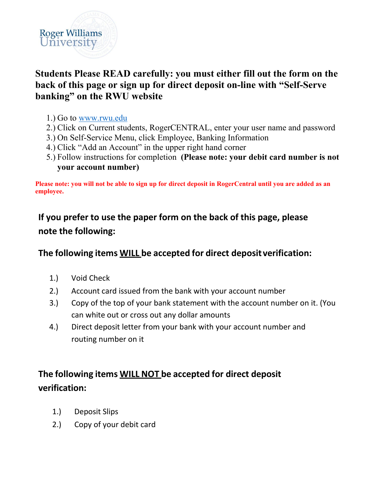

### **Students Please READ carefully: you must either fill out the form on the back of this page or sign up for direct deposit on-line with "Self-Serve banking" on the RWU website**

- 1.) Go to www.rwu.edu
- 2.) Click on Current students, RogerCENTRAL, enter your user name and password
- 3.) On Self-Service Menu, click Employee, Banking Information
- 4.) Click "Add an Account" in the upper right hand corner
- 5.) Follow instructions for completion **(Please note: your debit card number is not your account number)**

**Please note: you will not be able to sign up for direct deposit in RogerCentral until you are added as an employee.** 

# **If you prefer to use the paper form on the back of this page, please note the following:**

### **The following items WILL be accepted for direct deposit verification:**

- 1.) Void Check
- 2.) Account card issued from the bank with your account number
- 3.) Copy of the top of your bank statement with the account number on it. (You can white out or cross out any dollar amounts
- 4.) Direct deposit letter from your bank with your account number and routing number on it

# **The following items WILL NOT be accepted for direct deposit verification:**

- 1.) Deposit Slips
- 2.) Copy of your debit card